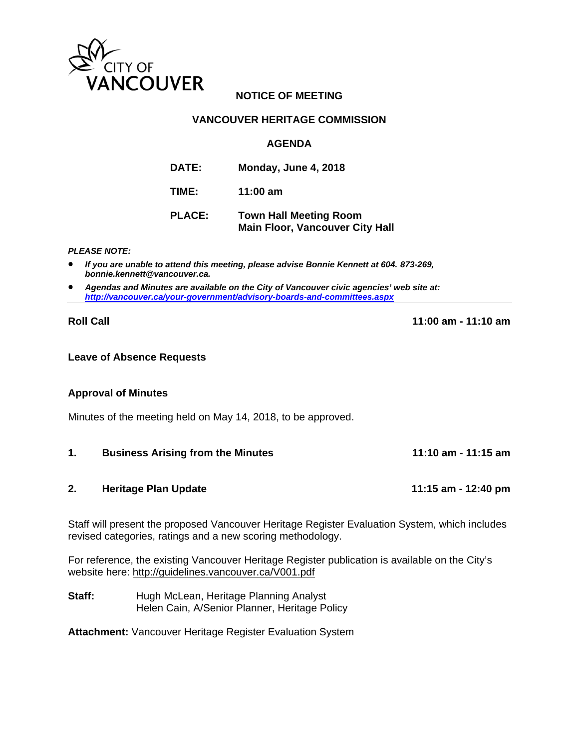

## **NOTICE OF MEETING**

## **VANCOUVER HERITAGE COMMISSION**

## **AGENDA**

| <b>DATE:</b>  | Monday, June 4, 2018                                                    |
|---------------|-------------------------------------------------------------------------|
| TIME:         | 11:00 $am$                                                              |
| <b>PLACE:</b> | <b>Town Hall Meeting Room</b><br><b>Main Floor, Vancouver City Hall</b> |

### *PLEASE NOTE:*

- *If you are unable to attend this meeting, please advise Bonnie Kennett at 604. 873-269, bonnie.kennett@vancouver.ca.*
- *Agendas and Minutes are available on the City of Vancouver civic agencies' web site at: http://vancouver.ca/your-government/advisory-boards-and-committees.aspx*

**Roll Call 11:00 am - 11:10 am** 

### **Leave of Absence Requests**

## **Approval of Minutes**

Minutes of the meeting held on May 14, 2018, to be approved.

**1. Business Arising from the Minutes 11:10 am - 11:15 am**

## **2. Heritage Plan Update 11:15 am - 12:40 pm**

Staff will present the proposed Vancouver Heritage Register Evaluation System, which includes revised categories, ratings and a new scoring methodology.

For reference, the existing Vancouver Heritage Register publication is available on the City's website here: http://guidelines.vancouver.ca/V001.pdf

**Staff:** Hugh McLean, Heritage Planning Analyst Helen Cain, A/Senior Planner, Heritage Policy

**Attachment:** Vancouver Heritage Register Evaluation System